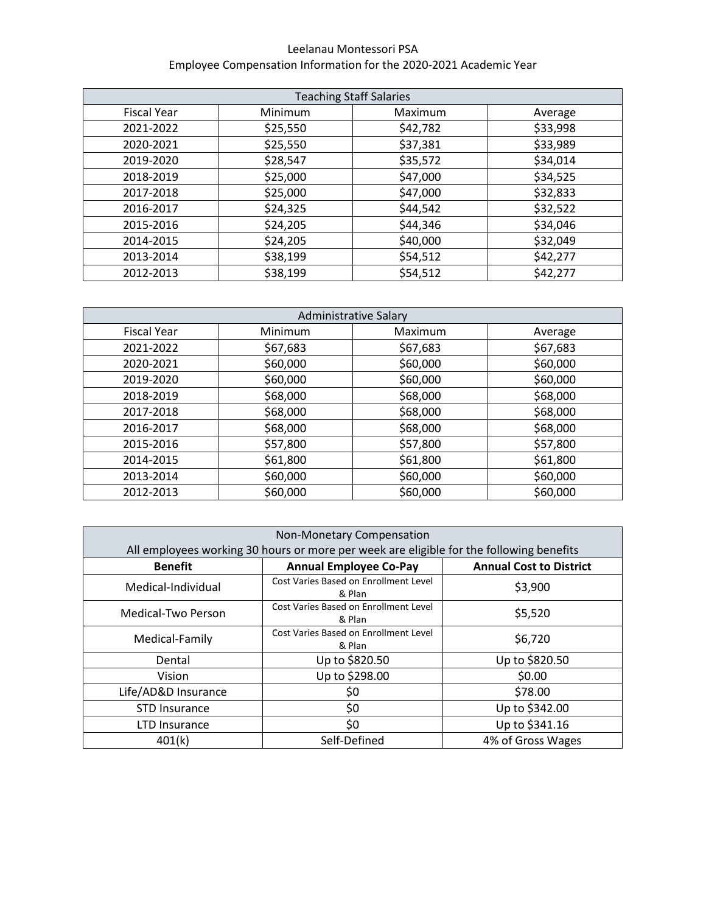## Leelanau Montessori PSA Employee Compensation Information for the 2020-2021 Academic Year

| <b>Teaching Staff Salaries</b> |          |          |          |  |
|--------------------------------|----------|----------|----------|--|
| <b>Fiscal Year</b>             | Minimum  | Maximum  | Average  |  |
| 2021-2022                      | \$25,550 | \$42,782 | \$33,998 |  |
| 2020-2021                      | \$25,550 | \$37,381 | \$33,989 |  |
| 2019-2020                      | \$28,547 | \$35,572 | \$34,014 |  |
| 2018-2019                      | \$25,000 | \$47,000 | \$34,525 |  |
| 2017-2018                      | \$25,000 | \$47,000 | \$32,833 |  |
| 2016-2017                      | \$24,325 | \$44,542 | \$32,522 |  |
| 2015-2016                      | \$24,205 | \$44,346 | \$34,046 |  |
| 2014-2015                      | \$24,205 | \$40,000 | \$32,049 |  |
| 2013-2014                      | \$38,199 | \$54,512 | \$42,277 |  |
| 2012-2013                      | \$38,199 | \$54,512 | \$42,277 |  |

| <b>Administrative Salary</b> |          |          |          |  |
|------------------------------|----------|----------|----------|--|
| <b>Fiscal Year</b>           | Minimum  | Maximum  | Average  |  |
| 2021-2022                    | \$67,683 | \$67,683 | \$67,683 |  |
| 2020-2021                    | \$60,000 | \$60,000 | \$60,000 |  |
| 2019-2020                    | \$60,000 | \$60,000 | \$60,000 |  |
| 2018-2019                    | \$68,000 | \$68,000 | \$68,000 |  |
| 2017-2018                    | \$68,000 | \$68,000 | \$68,000 |  |
| 2016-2017                    | \$68,000 | \$68,000 | \$68,000 |  |
| 2015-2016                    | \$57,800 | \$57,800 | \$57,800 |  |
| 2014-2015                    | \$61,800 | \$61,800 | \$61,800 |  |
| 2013-2014                    | \$60,000 | \$60,000 | \$60,000 |  |
| 2012-2013                    | \$60,000 | \$60,000 | \$60,000 |  |

| Non-Monetary Compensation                                                               |                                                 |                                |  |  |  |
|-----------------------------------------------------------------------------------------|-------------------------------------------------|--------------------------------|--|--|--|
| All employees working 30 hours or more per week are eligible for the following benefits |                                                 |                                |  |  |  |
| <b>Benefit</b>                                                                          | <b>Annual Employee Co-Pay</b>                   | <b>Annual Cost to District</b> |  |  |  |
| Medical-Individual                                                                      | Cost Varies Based on Enrollment Level<br>& Plan | \$3,900                        |  |  |  |
| Medical-Two Person                                                                      | Cost Varies Based on Enrollment Level<br>& Plan | \$5,520                        |  |  |  |
| Medical-Family                                                                          | Cost Varies Based on Enrollment Level<br>& Plan | \$6,720                        |  |  |  |
| Dental                                                                                  | Up to \$820.50                                  | Up to \$820.50                 |  |  |  |
| Vision                                                                                  | Up to \$298.00                                  | \$0.00                         |  |  |  |
| Life/AD&D Insurance                                                                     | \$0                                             | \$78.00                        |  |  |  |
| <b>STD Insurance</b>                                                                    | \$0                                             | Up to \$342.00                 |  |  |  |
| LTD Insurance                                                                           | \$0                                             | Up to \$341.16                 |  |  |  |
| 401(k)                                                                                  | Self-Defined                                    | 4% of Gross Wages              |  |  |  |